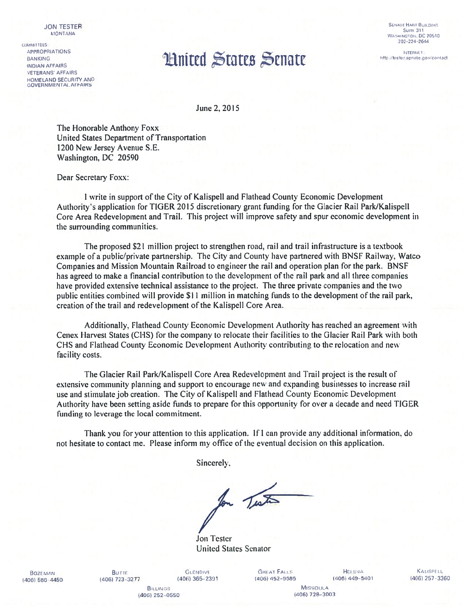**JON TESTER MONTANA** 

**COMMITTEES: APPROPRIATIONS BANKING INDIAN AFFAIRS VETERANS' AFFAIRS** HOMELAND SECURITY AND **GOVERNMENTAL AFFAIRS** 

## **SENATE HART BUILDING Suitt. 311** WASHINGTON, DC 20510

**INTERNET:** http://tester.senate.gov/contact

## **Limited States Senate**

June 2, 2015

The Honorable Anthony Foxx United States Department of Transportation 1200 New Jersey Avenue S.E. Washington, DC 20590

Dear Secretary Foxx:

I write in support of the City of Kalispell and Flathead County Economic Development Authority's application for TIGER 2015 discretionary grant funding for the Glacier Rail Park/Kalispell Core Area Redevelopment and Trail. This project will improve safety and spur economic development in the surrounding communities.

The proposed \$21 million project to strengthen road, rail and trail infrastructure is a textbook example of a public/private partnership. The City and County have partnered with BNSF Railway, Watco Companies and Mission Mountain Railroad to engineer the rail and operation plan for the park. BNSF has agreed to make a financial contribution to the development of the rail park and all three companies have provided extensive technical assistance to the project. The three private companies and the two public entities combined will provide \$11 million in matching funds to the development of the rail park, creation of the trail and redevelopment of the Kalispell Core Area.

Additionally, Flathead County Economic Development Authority has reached an agreement with Cenex Harvest States (CHS) for the company to relocate their facilities to the Glacier Rail Park with both CHS and Flathead County Economic Development Authority contributing to the relocation and new facility costs.

The Glacier Rail Park/Kalispell Core Area Redevelopment and Trail project is the result of extensive community planning and support to encourage new and expanding businesses to increase rail use and stimulate job creation. The City of Kalispell and Flathead County Economic Development Authority have been setting aside funds to prepare for this opportunity for over a decade and need TIGER funding to leverage the local commitment.

Thank you for your attention to this application. If I can provide any additional information, do not hesitate to contact me. Please inform my office of the eventual decision on this application.

Sincerely,

for Testo

**Jon Tester United States Senator** 

**BOZEMAN** (406) 586-4450

Burie (406) 723-3277

**GLENDIVE**  $(406)$  365-2391

**GREAT FALLS** (406) 452-9585

**HELBNA**  $(406)$  449-5401

KALISPELL  $(406)$  257-3360

**BiLLINGS** (406) 252-0550

**MISSOULA** (406) 728-3003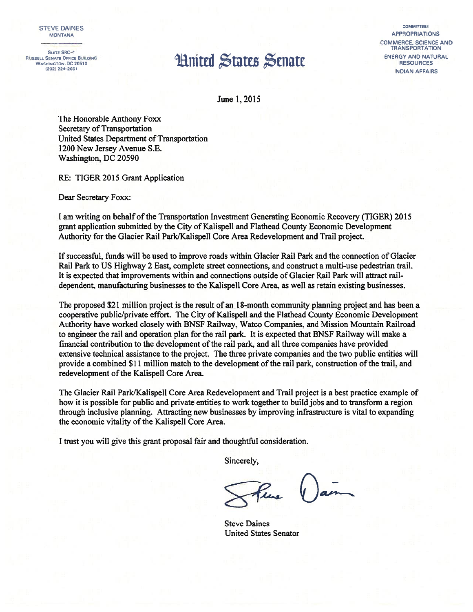## RUSSELL SENATE OFFICE BUILDING<br>WASHINGTON, DC 20510<br>(202) 224–2651<br>RESOURCES

STEVE DAINES COMMITTEES MONTANA APPROPRIATIONS COMMERCE, SCIENCE AND **TRANSPORTATION** <sup>2021</sup> 224—2651 INDIAN AFFAIRS

June 1,2015

The Honorable Anthony Foxx Secretary of Transportation United States Department of Transportation 1200 New Jersey Avenue S.E. Washington, DC 20590

RE: TIGER 2015 Grant Application

Dear Secretary Foxx:

<sup>I</sup> am writing on behalf ofthe Transportation Investment Generating Economic Recovery (TIGER) 2015 grant application submitted by the City of Kalispell and Flathead County Economic Development Authority for the Glacier Rail Park/Kalispell Core Area Redevelopment and Trail project.

If successful, funds will be used to improve roads within Glacier Rail Park and the connection of Glacier Rail Park to US Highway 2 East, complete street connections, and construct a multi-use pedestrian trail. It is expected that improvements within and connections outside of Glacier Rail Park will attract raildependent, manufacturing businesses to the Kalispell Core Area, as well as retain existing businesses.

The proposed \$21 million project is the result of an 18-month community planning project and has been a cooperative public/private effort. The City of Kalispell and the Flathead County Economic Development Authority have worked closely with BNSF Railway, Watco Companies, and Mission Mountain Railroad to engineer the rail and operation plan for the rail park. It is expected that BNSF Railway will make a financial contribution to the development of the rail park, and all three companies have provided extensive technical assistance to the project. The three private companies and the two public entities will provide a combined \$1 <sup>I</sup> million match to the development ofthe rail park, construction ofthe trail, and redevelopment of the Kalispell Core Area.

The Glacier Rail Park/Kalispell Core Area Redevelopment and Trail project is a best practice example of how it is possible for public and private entities to work together to build jobs and to transform a region through inclusive planning. Attracting new businesses by improving infrastructure is vital to expanding the economic vitality of the Kalispell Core Area.

<sup>I</sup> trust you will give this grant proposal fair and thoughtful consideration.

Sincerely,

Fine

**Steve Daines** United States Senator